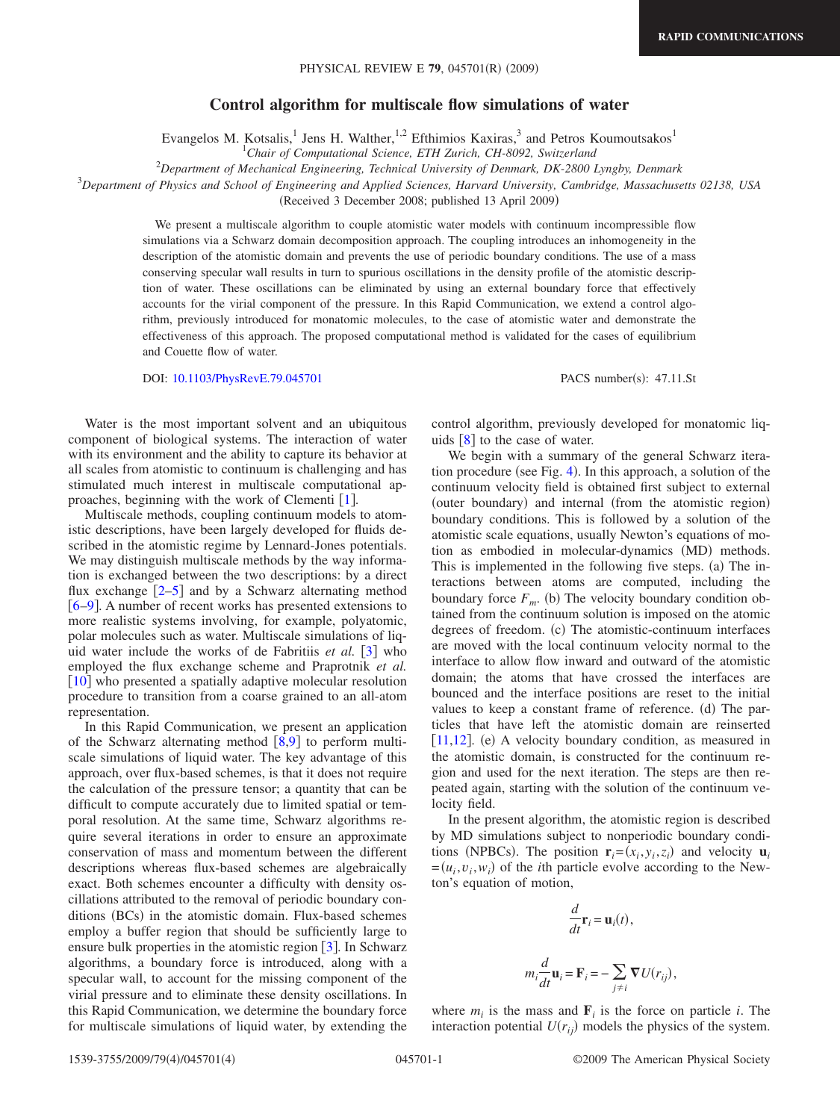## **Control algorithm for multiscale flow simulations of water**

Evangelos M. Kotsalis,<sup>1</sup> Jens H. Walther,<sup>1,2</sup> Efthimios Kaxiras,<sup>3</sup> and Petros Koumoutsakos<sup>1</sup>

1 *Chair of Computational Science, ETH Zurich, CH-8092, Switzerland*

2 *Department of Mechanical Engineering, Technical University of Denmark, DK-2800 Lyngby, Denmark*

3 *Department of Physics and School of Engineering and Applied Sciences, Harvard University, Cambridge, Massachusetts 02138, USA*

(Received 3 December 2008; published 13 April 2009)

We present a multiscale algorithm to couple atomistic water models with continuum incompressible flow simulations via a Schwarz domain decomposition approach. The coupling introduces an inhomogeneity in the description of the atomistic domain and prevents the use of periodic boundary conditions. The use of a mass conserving specular wall results in turn to spurious oscillations in the density profile of the atomistic description of water. These oscillations can be eliminated by using an external boundary force that effectively accounts for the virial component of the pressure. In this Rapid Communication, we extend a control algorithm, previously introduced for monatomic molecules, to the case of atomistic water and demonstrate the effectiveness of this approach. The proposed computational method is validated for the cases of equilibrium and Couette flow of water.

DOI: [10.1103/PhysRevE.79.045701](http://dx.doi.org/10.1103/PhysRevE.79.045701)

PACS number(s): 47.11.St

Water is the most important solvent and an ubiquitous component of biological systems. The interaction of water with its environment and the ability to capture its behavior at all scales from atomistic to continuum is challenging and has stimulated much interest in multiscale computational approaches, beginning with the work of Clementi  $[1]$  $[1]$  $[1]$ .

Multiscale methods, coupling continuum models to atomistic descriptions, have been largely developed for fluids described in the atomistic regime by Lennard-Jones potentials. We may distinguish multiscale methods by the way information is exchanged between the two descriptions: by a direct flux exchange  $\lceil 2-5 \rceil$  $\lceil 2-5 \rceil$  $\lceil 2-5 \rceil$  and by a Schwarz alternating method [6](#page-3-3)[–9](#page-3-4). A number of recent works has presented extensions to more realistic systems involving, for example, polyatomic, polar molecules such as water. Multiscale simulations of liquid water include the works of de Fabritiis *et al.* [[3](#page-3-5)] who employed the flux exchange scheme and Praprotnik *et al.*  $\lceil 10 \rceil$  $\lceil 10 \rceil$  $\lceil 10 \rceil$  who presented a spatially adaptive molecular resolution procedure to transition from a coarse grained to an all-atom representation.

In this Rapid Communication, we present an application of the Schwarz alternating method  $[8,9]$  $[8,9]$  $[8,9]$  $[8,9]$  to perform multiscale simulations of liquid water. The key advantage of this approach, over flux-based schemes, is that it does not require the calculation of the pressure tensor; a quantity that can be difficult to compute accurately due to limited spatial or temporal resolution. At the same time, Schwarz algorithms require several iterations in order to ensure an approximate conservation of mass and momentum between the different descriptions whereas flux-based schemes are algebraically exact. Both schemes encounter a difficulty with density oscillations attributed to the removal of periodic boundary conditions (BCs) in the atomistic domain. Flux-based schemes employ a buffer region that should be sufficiently large to ensure bulk properties in the atomistic region  $\lceil 3 \rceil$  $\lceil 3 \rceil$  $\lceil 3 \rceil$ . In Schwarz algorithms, a boundary force is introduced, along with a specular wall, to account for the missing component of the virial pressure and to eliminate these density oscillations. In this Rapid Communication, we determine the boundary force for multiscale simulations of liquid water, by extending the control algorithm, previously developed for monatomic liquids  $[8]$  $[8]$  $[8]$  to the case of water.

We begin with a summary of the general Schwarz itera-tion procedure (see Fig. [4](#page-2-0)). In this approach, a solution of the continuum velocity field is obtained first subject to external (outer boundary) and internal (from the atomistic region) boundary conditions. This is followed by a solution of the atomistic scale equations, usually Newton's equations of motion as embodied in molecular-dynamics (MD) methods. This is implemented in the following five steps. (a) The interactions between atoms are computed, including the boundary force  $F_m$ . (b) The velocity boundary condition obtained from the continuum solution is imposed on the atomic degrees of freedom. (c) The atomistic-continuum interfaces are moved with the local continuum velocity normal to the interface to allow flow inward and outward of the atomistic domain; the atoms that have crossed the interfaces are bounced and the interface positions are reset to the initial values to keep a constant frame of reference. (d) The particles that have left the atomistic domain are reinserted  $[11, 12]$  $[11, 12]$  $[11, 12]$ . (e) A velocity boundary condition, as measured in the atomistic domain, is constructed for the continuum region and used for the next iteration. The steps are then repeated again, starting with the solution of the continuum velocity field.

In the present algorithm, the atomistic region is described by MD simulations subject to nonperiodic boundary conditions (NPBCs). The position  $\mathbf{r}_i = (x_i, y_i, z_i)$  and velocity  $\mathbf{u}_i$  $=(u_i, v_i, w_i)$  of the *i*th particle evolve according to the Newton's equation of motion,

$$
\frac{d}{dt}\mathbf{r}_i = \mathbf{u}_i(t),
$$
  

$$
m_i \frac{d}{dt}\mathbf{u}_i = \mathbf{F}_i = -\sum_{j \neq i} \nabla U(r_{ij}),
$$

where  $m_i$  is the mass and  $\mathbf{F}_i$  is the force on particle *i*. The interaction potential  $U(r_{ij})$  models the physics of the system.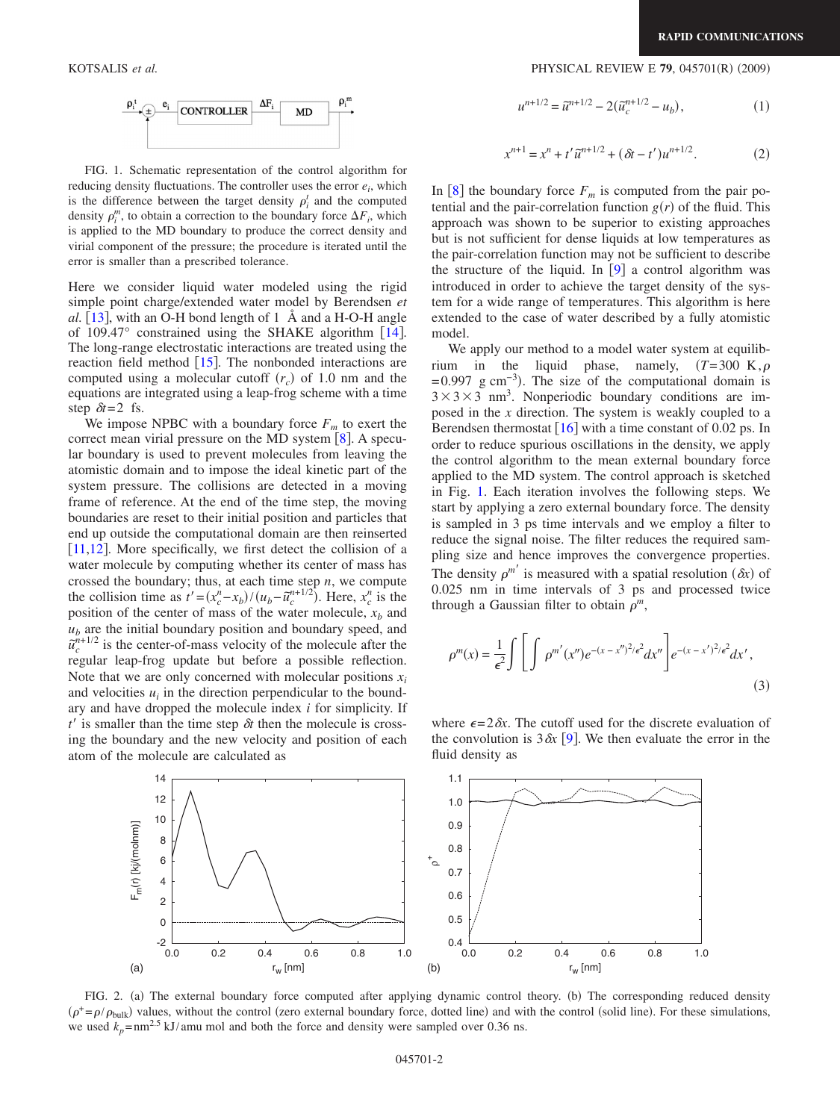

<span id="page-1-0"></span>FIG. 1. Schematic representation of the control algorithm for reducing density fluctuations. The controller uses the error *ei*, which is the difference between the target density  $\rho_i^t$  and the computed density  $\rho_i^m$ , to obtain a correction to the boundary force  $\Delta F_i$ , which is applied to the MD boundary to produce the correct density and virial component of the pressure; the procedure is iterated until the error is smaller than a prescribed tolerance.

Here we consider liquid water modeled using the rigid simple point charge/extended water model by Berendsen *et al.*  $\left[13\right]$  $\left[13\right]$  $\left[13\right]$ , with an O-H bond length of 1 Å and a H-O-H angle of 109.47 $\degree$  constrained using the SHAKE algorithm [[14](#page-3-11)]. The long-range electrostatic interactions are treated using the reaction field method  $\left[15\right]$  $\left[15\right]$  $\left[15\right]$ . The nonbonded interactions are computed using a molecular cutoff  $(r_c)$  of 1.0 nm and the equations are integrated using a leap-frog scheme with a time step  $\delta t = 2$  fs.

We impose NPBC with a boundary force  $F_m$  to exert the correct mean virial pressure on the MD system  $\lceil 8 \rceil$  $\lceil 8 \rceil$  $\lceil 8 \rceil$ . A specular boundary is used to prevent molecules from leaving the atomistic domain and to impose the ideal kinetic part of the system pressure. The collisions are detected in a moving frame of reference. At the end of the time step, the moving boundaries are reset to their initial position and particles that end up outside the computational domain are then reinserted  $[11,12]$  $[11,12]$  $[11,12]$  $[11,12]$ . More specifically, we first detect the collision of a water molecule by computing whether its center of mass has crossed the boundary; thus, at each time step *n*, we compute the collision time as  $t' = (x_c^n - x_b) / (u_b - \tilde{u}_c^{n+1/2})$ . Here,  $x_c^n$  is the position of the center of mass of the water molecule,  $x_b$  and  $u<sub>b</sub>$  are the initial boundary position and boundary speed, and  $\tilde{u}_c^{n+1/2}$  is the center-of-mass velocity of the molecule after the regular leap-frog update but before a possible reflection. Note that we are only concerned with molecular positions  $x_i$ and velocities  $u_i$  in the direction perpendicular to the boundary and have dropped the molecule index *i* for simplicity. If  $t'$  is smaller than the time step  $\delta t$  then the molecule is crossing the boundary and the new velocity and position of each atom of the molecule are calculated as

## KOTSALIS *et al.* 2009) **PHYSICAL REVIEW E 79**, 045701(R) (2009)

$$
u^{n+1/2} = \tilde{u}^{n+1/2} - 2(\tilde{u}_c^{n+1/2} - u_b),
$$
 (1)

$$
x^{n+1} = x^n + t'\tilde{u}^{n+1/2} + (\delta t - t')u^{n+1/2}.
$$
 (2)

In  $[8]$  $[8]$  $[8]$  the boundary force  $F_m$  is computed from the pair potential and the pair-correlation function  $g(r)$  of the fluid. This approach was shown to be superior to existing approaches but is not sufficient for dense liquids at low temperatures as the pair-correlation function may not be sufficient to describe the structure of the liquid. In  $[9]$  $[9]$  $[9]$  a control algorithm was introduced in order to achieve the target density of the system for a wide range of temperatures. This algorithm is here extended to the case of water described by a fully atomistic model.

We apply our method to a model water system at equilibrium in the liquid phase, namely,  $(T=300 \text{ K}, \rho)$  $= 0.997$  g cm<sup>-3</sup>). The size of the computational domain is  $3 \times 3 \times 3$  nm<sup>3</sup>. Nonperiodic boundary conditions are imposed in the *x* direction. The system is weakly coupled to a Berendsen thermostat  $\lceil 16 \rceil$  $\lceil 16 \rceil$  $\lceil 16 \rceil$  with a time constant of 0.02 ps. In order to reduce spurious oscillations in the density, we apply the control algorithm to the mean external boundary force applied to the MD system. The control approach is sketched in Fig. [1.](#page-1-0) Each iteration involves the following steps. We start by applying a zero external boundary force. The density is sampled in 3 ps time intervals and we employ a filter to reduce the signal noise. The filter reduces the required sampling size and hence improves the convergence properties. The density  $\rho^{m'}$  is measured with a spatial resolution  $(\delta x)$  of 0.025 nm in time intervals of 3 ps and processed twice through a Gaussian filter to obtain  $\rho^m$ ,

$$
\rho^{m}(x) = \frac{1}{\epsilon^{2}} \int \left[ \int \rho^{m'}(x'') e^{-(x-x'')^{2}/\epsilon^{2}} dx'' \right] e^{-(x-x')^{2}/\epsilon^{2}} dx',
$$
\n(3)

where  $\epsilon = 2\delta x$ . The cutoff used for the discrete evaluation of the convolution is  $3\delta x$  [[9](#page-3-4)]. We then evaluate the error in the fluid density as

<span id="page-1-1"></span>

FIG. 2. (a) The external boundary force computed after applying dynamic control theory. (b) The corresponding reduced density  $(\rho^+ = \rho/\rho_{bulk})$  values, without the control (zero external boundary force, dotted line) and with the control (solid line). For these simulations, we used  $k_p = \text{nm}^{2.5} \text{ kJ/amu}$  mol and both the force and density were sampled over 0.36 ns.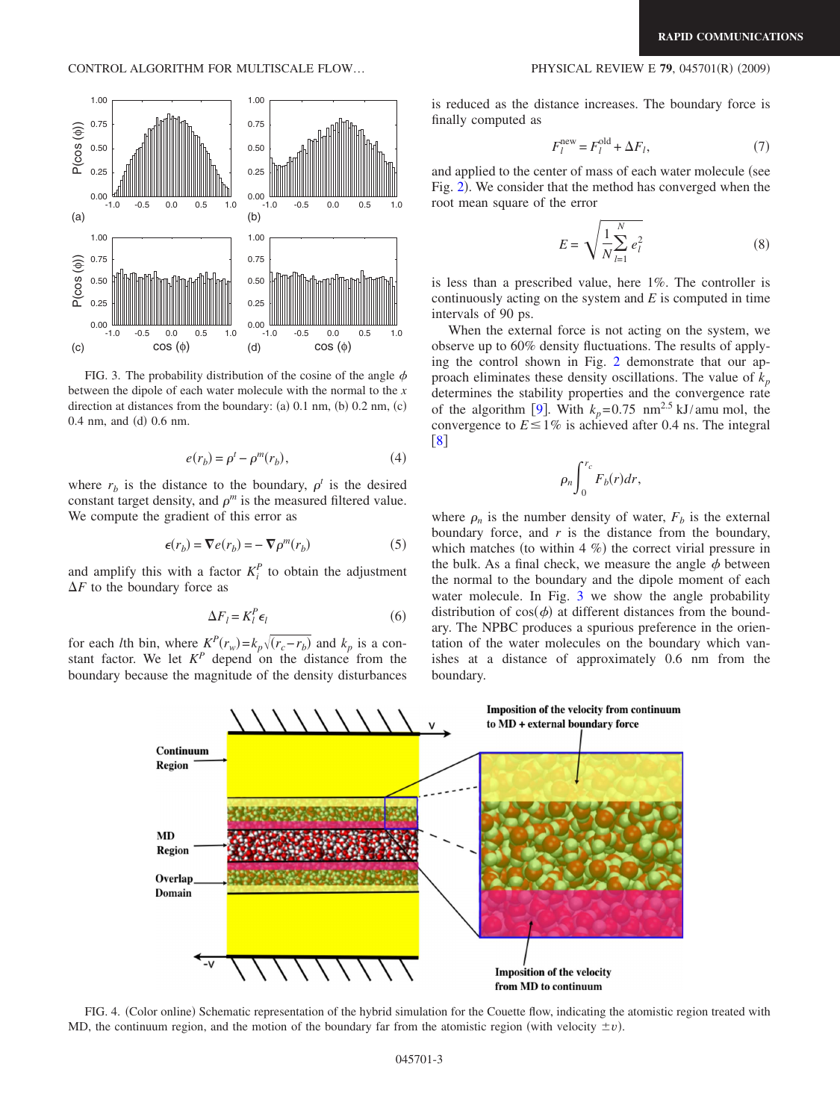CONTROL ALGORITHM FOR MULTISCALE FLOW...

<span id="page-2-1"></span>

FIG. 3. The probability distribution of the cosine of the angle  $\phi$ between the dipole of each water molecule with the normal to the *x* direction at distances from the boundary: (a)  $0.1$  nm, (b)  $0.2$  nm, (c)  $0.4$  nm, and (d)  $0.6$  nm.

$$
e(r_b) = \rho^t - \rho^m(r_b),\tag{4}
$$

where  $r_b$  is the distance to the boundary,  $\rho^t$  is the desired constant target density, and  $\rho^m$  is the measured filtered value. We compute the gradient of this error as

$$
\epsilon(r_b) = \nabla e(r_b) = -\nabla \rho^m(r_b)
$$
 (5)

and amplify this with a factor  $K_i^P$  to obtain the adjustment  $\Delta F$  to the boundary force as

$$
\Delta F_l = K_l^P \epsilon_l \tag{6}
$$

for each *l*th bin, where  $K^P(r_w) = k_p \sqrt{(r_c - r_b)}$  and  $k_p$  is a constant factor. We let  $K^P$  depend on the distance from the boundary because the magnitude of the density disturbances

is reduced as the distance increases. The boundary force is finally computed as

$$
F_l^{\text{new}} = F_l^{\text{old}} + \Delta F_l,\tag{7}
$$

and applied to the center of mass of each water molecule (see Fig. [2](#page-1-1)). We consider that the method has converged when the root mean square of the error

$$
E = \sqrt{\frac{1}{N} \sum_{l=1}^{N} e_l^2}
$$
 (8)

is less than a prescribed value, here 1%. The controller is continuously acting on the system and *E* is computed in time intervals of 90 ps.

When the external force is not acting on the system, we observe up to 60% density fluctuations. The results of applying the control shown in Fig. [2](#page-1-1) demonstrate that our approach eliminates these density oscillations. The value of  $k_p$ determines the stability properties and the convergence rate of the algorithm [[9](#page-3-4)]. With  $k_p = 0.75$  nm<sup>2.5</sup> kJ/amu mol, the convergence to  $E \le 1\%$  is achieved after 0.4 ns. The integral [8](#page-3-7)

$$
\rho_n \int_0^{r_c} F_b(r) dr,
$$

where  $\rho_n$  is the number density of water,  $F_b$  is the external boundary force, and *r* is the distance from the boundary, which matches (to within  $4 \%$ ) the correct virial pressure in the bulk. As a final check, we measure the angle  $\phi$  between the normal to the boundary and the dipole moment of each water molecule. In Fig. [3](#page-2-1) we show the angle probability distribution of  $cos(\phi)$  at different distances from the boundary. The NPBC produces a spurious preference in the orientation of the water molecules on the boundary which vanishes at a distance of approximately 0.6 nm from the boundary.

<span id="page-2-0"></span>

FIG. 4. (Color online) Schematic representation of the hybrid simulation for the Couette flow, indicating the atomistic region treated with MD, the continuum region, and the motion of the boundary far from the atomistic region (with velocity  $\pm v$ ).